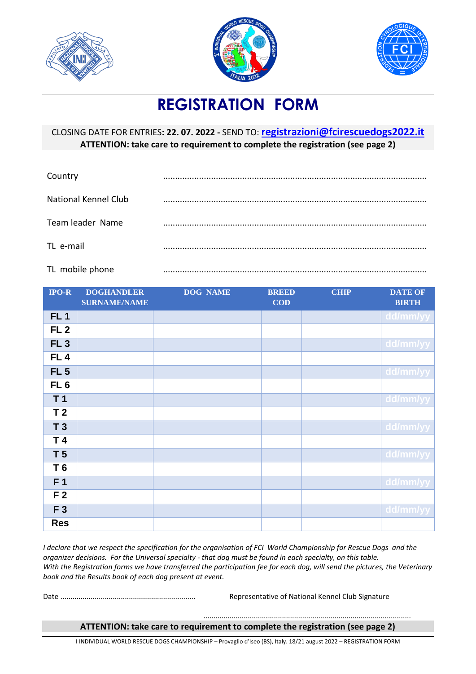





# **REGISTRATION FORM**

CLOSING DATE FOR ENTRIES**: 22. 07. 2022 -** SEND TO: **[registrazioni@fcirescuedogs2022.it](mailto:registrazioni@fcirescuedogs2022.it) ATTENTION: take care to requirement to complete the registration (see page 2)**

| Country                                   |  |
|-------------------------------------------|--|
| <b>National Kennel Club</b>               |  |
| Team leader Name                          |  |
| TL e-mail                                 |  |
| $\sim$ $\sim$ $\sim$ $\sim$ $\sim$ $\sim$ |  |

|  | TL mobile phone |  |
|--|-----------------|--|
|--|-----------------|--|

| $IPO-R$         | <b>DOGHANDLER</b>   | <b>DOG NAME</b> | <b>BREED</b>   | <b>CHIP</b> | <b>DATE OF</b> |
|-----------------|---------------------|-----------------|----------------|-------------|----------------|
|                 | <b>SURNAME/NAME</b> |                 | $\mathbf{COD}$ |             | <b>BIRTH</b>   |
| FL <sub>1</sub> |                     |                 |                |             | dd/mm/yy       |
| FL <sub>2</sub> |                     |                 |                |             |                |
| FL <sub>3</sub> |                     |                 |                |             | dd/mm/yy       |
| FL <sub>4</sub> |                     |                 |                |             |                |
| FL <sub>5</sub> |                     |                 |                |             | dd/mm/yy       |
| FL <sub>6</sub> |                     |                 |                |             |                |
| T <sub>1</sub>  |                     |                 |                |             | dd/mm/yy       |
| T <sub>2</sub>  |                     |                 |                |             |                |
| $T_3$           |                     |                 |                |             | dd/mm/yy       |
| T <sub>4</sub>  |                     |                 |                |             |                |
| T <sub>5</sub>  |                     |                 |                |             | dd/mm/yy       |
| T 6             |                     |                 |                |             |                |
| F <sub>1</sub>  |                     |                 |                |             | dd/mm/yy       |
| F <sub>2</sub>  |                     |                 |                |             |                |
| F 3             |                     |                 |                |             | dd/mm/yy       |
| <b>Res</b>      |                     |                 |                |             |                |

*I declare that we respect the specification for the organisation of FCI World Championship for Rescue Dogs and the organizer decisions. For the Universal specialty - that dog must be found in each specialty, on this table. With the Registration forms we have transferred the participation fee for each dog, will send the pictures, the Veterinary book and the Results book of each dog present at event.* 

Date ................................................................... Representative of National Kennel Club Signature

....................................................................................................... **ATTENTION: take care to requirement to complete the registration (see page 2)**